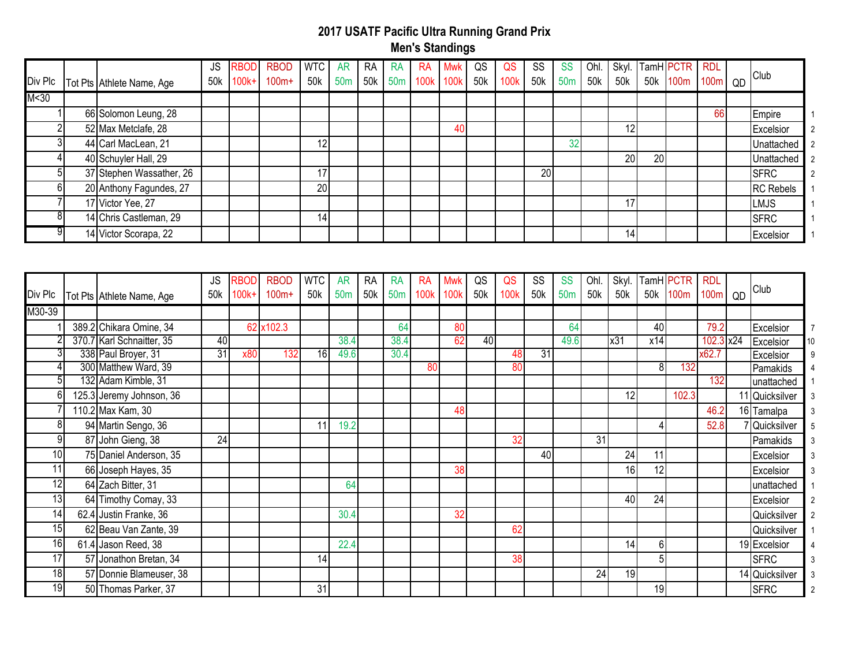| Div Plc | Tot Pts Athlete Name, Age | JS<br>50k | <b>RBOD</b><br>$100k+$ | <b>RBOD</b><br>$100m+$ | <b>WTC</b><br>50k | AR | RA | RA | RA<br>50m 50k 50m 100k 100k | <b>Mwk</b> | QS<br>50k | QS<br>100k | SS<br>50k | SS<br>50 <sub>m</sub> | Ohl.<br>50k | 50k             |                 | Skyl. TamH PCTR RDL<br>50k 100m 100m |    | QD | Club                           |
|---------|---------------------------|-----------|------------------------|------------------------|-------------------|----|----|----|-----------------------------|------------|-----------|------------|-----------|-----------------------|-------------|-----------------|-----------------|--------------------------------------|----|----|--------------------------------|
| M < 30  |                           |           |                        |                        |                   |    |    |    |                             |            |           |            |           |                       |             |                 |                 |                                      |    |    |                                |
|         | 66 Solomon Leung, 28      |           |                        |                        |                   |    |    |    |                             |            |           |            |           |                       |             |                 |                 |                                      | 66 |    | Empire                         |
|         | 52 Max Metclafe, 28       |           |                        |                        |                   |    |    |    |                             | 40         |           |            |           |                       |             | 12              |                 |                                      |    |    | Excelsior                      |
|         | 44 Carl MacLean, 21       |           |                        |                        | 12                |    |    |    |                             |            |           |            |           | 32                    |             |                 |                 |                                      |    |    | Unattached                     |
|         | 40 Schuyler Hall, 29      |           |                        |                        |                   |    |    |    |                             |            |           |            |           |                       |             | 20 <sup>1</sup> | 20 <sub>l</sub> |                                      |    |    | Unattached<br>$\overline{2}$   |
|         | 37 Stephen Wassather, 26  |           |                        |                        | 17 <sub>l</sub>   |    |    |    |                             |            |           |            | 20        |                       |             |                 |                 |                                      |    |    | <b>ISFRC</b><br>$\overline{2}$ |
| 61      | 20 Anthony Fagundes, 27   |           |                        |                        | 20                |    |    |    |                             |            |           |            |           |                       |             |                 |                 |                                      |    |    | <b>RC</b> Rebels               |
|         | 17 Victor Yee, 27         |           |                        |                        |                   |    |    |    |                             |            |           |            |           |                       |             | 17 <sub>1</sub> |                 |                                      |    |    | <b>LMJS</b>                    |
|         | 14 Chris Castleman, 29    |           |                        |                        | 14                |    |    |    |                             |            |           |            |           |                       |             |                 |                 |                                      |    |    | <b>ISFRC</b>                   |
|         | 14 Victor Scorapa, 22     |           |                        |                        |                   |    |    |    |                             |            |           |            |           |                       |             | 14              |                 |                                      |    |    | Excelsior                      |

| Div Plc         | Tot Pts Athlete Name, Age | <b>JS</b><br>50k | RBOD<br>100k+ | <b>RBOD</b><br>$100m+$ | <b>WTC</b><br>50k | <b>AR</b><br>50 <sub>m</sub> | <b>RA</b><br>50k | <b>RA</b><br>50 <sub>m</sub> | RA<br>100k | Mwk<br>100k | QS<br>50 <sub>k</sub> | QS<br>100k | SS<br>50k | <b>SS</b><br>50 <sub>m</sub> | Ohl.<br>50k | Skyl.<br>50k | TamH PCTR<br>50k | 100m  | <b>RDL</b><br>100 <sub>m</sub> | QD | <b>Club</b>    |    |
|-----------------|---------------------------|------------------|---------------|------------------------|-------------------|------------------------------|------------------|------------------------------|------------|-------------|-----------------------|------------|-----------|------------------------------|-------------|--------------|------------------|-------|--------------------------------|----|----------------|----|
| M30-39          |                           |                  |               |                        |                   |                              |                  |                              |            |             |                       |            |           |                              |             |              |                  |       |                                |    |                |    |
|                 | 389.2 Chikara Omine, 34   |                  | 62            | x102.3                 |                   |                              |                  | 64                           |            | 80          |                       |            |           | 64                           |             |              | 40               |       | 79.2                           |    | Excelsior      |    |
|                 | 370.7 Karl Schnaitter, 35 | 40               |               |                        |                   | 38.4                         |                  | 38.4                         |            | 62          | 40                    |            |           | 49.6                         |             | x31          | x14              |       | 102.3 x24                      |    | Excelsior      | 10 |
|                 | 338 Paul Broyer, 31       | 31               | x80           | 132                    | 16                | 49.6                         |                  | 30.4                         |            |             |                       | 48         | 31        |                              |             |              |                  |       | x62.7                          |    | Excelsior      |    |
|                 | 300 Matthew Ward, 39      |                  |               |                        |                   |                              |                  |                              | 80         |             |                       | 80         |           |                              |             |              | 8                | 132   |                                |    | Pamakids       |    |
|                 | 132 Adam Kimble, 31       |                  |               |                        |                   |                              |                  |                              |            |             |                       |            |           |                              |             |              |                  |       | 132                            |    | unattached     |    |
|                 | 125.3 Jeremy Johnson, 36  |                  |               |                        |                   |                              |                  |                              |            |             |                       |            |           |                              |             | 12           |                  | 102.3 |                                |    | 11 Quicksilver |    |
|                 | 110.2 Max Kam, 30         |                  |               |                        |                   |                              |                  |                              |            | 48          |                       |            |           |                              |             |              |                  |       | 46.2                           |    | 16 Tamalpa     |    |
|                 | 94 Martin Sengo, 36       |                  |               |                        |                   | 19.2                         |                  |                              |            |             |                       |            |           |                              |             |              |                  |       | 52.8                           |    | Quicksilver    |    |
| 9               | 87 John Gieng, 38         | 24               |               |                        |                   |                              |                  |                              |            |             |                       | 32         |           |                              | 31          |              |                  |       |                                |    | Pamakids       |    |
| 10              | 75 Daniel Anderson, 35    |                  |               |                        |                   |                              |                  |                              |            |             |                       |            | 40        |                              |             | 24           | 11               |       |                                |    | Excelsior      |    |
| 11              | 66 Joseph Hayes, 35       |                  |               |                        |                   |                              |                  |                              |            | 38          |                       |            |           |                              |             | 16           | 12               |       |                                |    | Excelsior      |    |
| 12              | 64 Zach Bitter, 31        |                  |               |                        |                   | 64                           |                  |                              |            |             |                       |            |           |                              |             |              |                  |       |                                |    | unattached     |    |
| $\overline{3}$  | 64 Timothy Comay, 33      |                  |               |                        |                   |                              |                  |                              |            |             |                       |            |           |                              |             | 40           | 24               |       |                                |    | Excelsior      |    |
| 14 <sub>1</sub> | 62.4 Justin Franke, 36    |                  |               |                        |                   | 30.4                         |                  |                              |            | 32          |                       |            |           |                              |             |              |                  |       |                                |    | Quicksilver    |    |
| 15 <sub>l</sub> | 62 Beau Van Zante, 39     |                  |               |                        |                   |                              |                  |                              |            |             |                       | 62         |           |                              |             |              |                  |       |                                |    | Quicksilver    |    |
| 16              | 61.4 Jason Reed, 38       |                  |               |                        |                   | 22.4                         |                  |                              |            |             |                       |            |           |                              |             | 14           | 6                |       |                                |    | 19 Excelsior   |    |
| 17              | 57 Jonathon Bretan, 34    |                  |               |                        | 14 <sub>1</sub>   |                              |                  |                              |            |             |                       | 38         |           |                              |             |              | 5                |       |                                |    | <b>SFRC</b>    |    |
| 18              | 57 Donnie Blameuser, 38   |                  |               |                        |                   |                              |                  |                              |            |             |                       |            |           |                              | 24          | 19           |                  |       |                                |    | 14 Quicksilver |    |
| 19              | 50 Thomas Parker, 37      |                  |               |                        | 31                |                              |                  |                              |            |             |                       |            |           |                              |             |              | 19               |       |                                |    | <b>SFRC</b>    |    |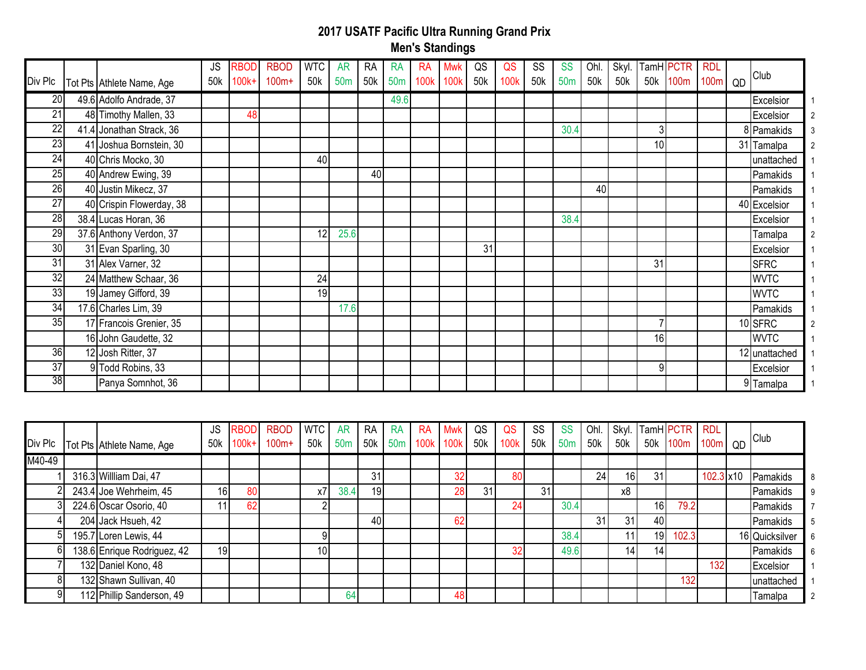| Div Plc         | Tot Pts Athlete Name, Age | <b>JS</b><br>50k | <b>RBOD</b><br>$100k+$ | <b>RBOD</b><br>$100m+$ | <b>WTC</b><br>50k | <b>AR</b><br>50 <sub>m</sub> | <b>RA</b><br>50k | <b>RA</b><br>50m | RA<br>100k | Mwk<br>100k | QS<br>50k | QS<br>100 <sub>k</sub> | SS<br>50k | <b>SS</b><br>50 <sub>m</sub> | Ohl.<br>50k | 50k | Skyl. TamH PCTR | 50k 100m | <b>RDL</b><br>100m | QD | Club          |  |
|-----------------|---------------------------|------------------|------------------------|------------------------|-------------------|------------------------------|------------------|------------------|------------|-------------|-----------|------------------------|-----------|------------------------------|-------------|-----|-----------------|----------|--------------------|----|---------------|--|
| 20 <sub>l</sub> | 49.6 Adolfo Andrade, 37   |                  |                        |                        |                   |                              |                  | 49.6             |            |             |           |                        |           |                              |             |     |                 |          |                    |    | Excelsior     |  |
| 21              | 48 Timothy Mallen, 33     |                  | 48                     |                        |                   |                              |                  |                  |            |             |           |                        |           |                              |             |     |                 |          |                    |    | Excelsior     |  |
| $\overline{22}$ | 41.4 Jonathan Strack, 36  |                  |                        |                        |                   |                              |                  |                  |            |             |           |                        |           | 30.4                         |             |     | 3               |          |                    |    | 8 Pamakids    |  |
| 23              | 41 Joshua Bornstein, 30   |                  |                        |                        |                   |                              |                  |                  |            |             |           |                        |           |                              |             |     | 10              |          |                    |    | 31 Tamalpa    |  |
| $\overline{24}$ | 40 Chris Mocko, 30        |                  |                        |                        | 40                |                              |                  |                  |            |             |           |                        |           |                              |             |     |                 |          |                    |    | unattached    |  |
| 25              | 40 Andrew Ewing, 39       |                  |                        |                        |                   |                              | 40               |                  |            |             |           |                        |           |                              |             |     |                 |          |                    |    | Pamakids      |  |
| 26              | 40 Justin Mikecz, 37      |                  |                        |                        |                   |                              |                  |                  |            |             |           |                        |           |                              | 40          |     |                 |          |                    |    | Pamakids      |  |
| 27              | 40 Crispin Flowerday, 38  |                  |                        |                        |                   |                              |                  |                  |            |             |           |                        |           |                              |             |     |                 |          |                    |    | 40 Excelsior  |  |
| 28              | 38.4 Lucas Horan, 36      |                  |                        |                        |                   |                              |                  |                  |            |             |           |                        |           | 38.4                         |             |     |                 |          |                    |    | Excelsior     |  |
| 29              | 37.6 Anthony Verdon, 37   |                  |                        |                        | 12                | 25.6                         |                  |                  |            |             |           |                        |           |                              |             |     |                 |          |                    |    | Tamalpa       |  |
| 30              | 31 Evan Sparling, 30      |                  |                        |                        |                   |                              |                  |                  |            |             | 31        |                        |           |                              |             |     |                 |          |                    |    | Excelsior     |  |
| $\overline{31}$ | 31 Alex Varner, 32        |                  |                        |                        |                   |                              |                  |                  |            |             |           |                        |           |                              |             |     | 31              |          |                    |    | <b>SFRC</b>   |  |
| $\overline{32}$ | 24 Matthew Schaar, 36     |                  |                        |                        | 24                |                              |                  |                  |            |             |           |                        |           |                              |             |     |                 |          |                    |    | <b>WVTC</b>   |  |
| 33              | 19 Jamey Gifford, 39      |                  |                        |                        | 19                |                              |                  |                  |            |             |           |                        |           |                              |             |     |                 |          |                    |    | <b>WVTC</b>   |  |
| 34              | 17.6 Charles Lim, 39      |                  |                        |                        |                   | 17.6                         |                  |                  |            |             |           |                        |           |                              |             |     |                 |          |                    |    | Pamakids      |  |
| 35              | 17 Francois Grenier, 35   |                  |                        |                        |                   |                              |                  |                  |            |             |           |                        |           |                              |             |     |                 |          |                    |    | 10 SFRC       |  |
|                 | 16 John Gaudette, 32      |                  |                        |                        |                   |                              |                  |                  |            |             |           |                        |           |                              |             |     | 16              |          |                    |    | <b>WVTC</b>   |  |
| 36              | 12 Josh Ritter, 37        |                  |                        |                        |                   |                              |                  |                  |            |             |           |                        |           |                              |             |     |                 |          |                    |    | 12 unattached |  |
| $\overline{37}$ | 9 Todd Robins, 33         |                  |                        |                        |                   |                              |                  |                  |            |             |           |                        |           |                              |             |     | 9               |          |                    |    | Excelsior     |  |
| 38              | Panya Somnhot, 36         |                  |                        |                        |                   |                              |                  |                  |            |             |           |                        |           |                              |             |     |                 |          |                    |    | 9 Tamalpa     |  |

| Div Plc | Tot Pts Athlete Name, Age   | JS<br>50k       | IRBODI<br>$100k+$ | <b>RBOD</b><br>$100m+$ | WIC<br>50k      | <b>AR</b><br>50 <sub>m</sub> | RA<br>50k | RA<br>50 <sub>m</sub> | -RA<br>100k 100k | Mwk | QS<br>50k | QS<br>100 <sub>k</sub> | SS<br>50k | <b>SS</b><br>50 <sub>m</sub> | Ohl.<br>50k | Skyl.<br>50k    | 50k             | TamH PCTR RDL<br>100 <sub>m</sub> | 100 <sub>m</sub>  | QD | <b>Club</b>    |
|---------|-----------------------------|-----------------|-------------------|------------------------|-----------------|------------------------------|-----------|-----------------------|------------------|-----|-----------|------------------------|-----------|------------------------------|-------------|-----------------|-----------------|-----------------------------------|-------------------|----|----------------|
| M40-49  |                             |                 |                   |                        |                 |                              |           |                       |                  |     |           |                        |           |                              |             |                 |                 |                                   |                   |    |                |
|         | 316.3 Willliam Dai, 47      |                 |                   |                        |                 |                              | 31        |                       |                  |     |           | 80                     |           |                              | 24          | 16              | 31              |                                   | $102.3 \times 10$ |    | Pamakids       |
|         | 243.4 Joe Wehrheim, 45      | 16 <sup>l</sup> | 80                |                        | х7              | 38.4                         | 19        |                       |                  | 28  | 31        |                        | 31        |                              |             | х8              |                 |                                   |                   |    | Pamakids       |
|         | 224.6 Oscar Osorio, 40      |                 | 62                |                        |                 |                              |           |                       |                  |     |           | 24                     |           | 30.4                         |             |                 | 16              | 79.2I                             |                   |    | Pamakids       |
|         | 204 Jack Hsueh, 42          |                 |                   |                        |                 |                              | 40        |                       |                  | 62  |           |                        |           |                              | 31          | 31              | 40              |                                   |                   |    | Pamakids       |
|         | 195.7 Loren Lewis, 44       |                 |                   |                        |                 |                              |           |                       |                  |     |           |                        |           | 38.4                         |             |                 | 19              | 102.3                             |                   |    | 16 Quicksilver |
|         | 138.6 Enrique Rodriguez, 42 | 19              |                   |                        | 10 <sup>1</sup> |                              |           |                       |                  |     |           | 32                     |           | 49.6                         |             | 14 <sub>1</sub> | 14 <sub>l</sub> |                                   |                   |    | Pamakids       |
|         | 132 Daniel Kono, 48         |                 |                   |                        |                 |                              |           |                       |                  |     |           |                        |           |                              |             |                 |                 |                                   | 132 <sub>1</sub>  |    | Excelsior      |
|         | 132 Shawn Sullivan, 40      |                 |                   |                        |                 |                              |           |                       |                  |     |           |                        |           |                              |             |                 |                 | 132                               |                   |    | unattached     |
|         | 112 Phillip Sanderson, 49   |                 |                   |                        |                 | 64                           |           |                       |                  | 48  |           |                        |           |                              |             |                 |                 |                                   |                   |    | Tamalpa        |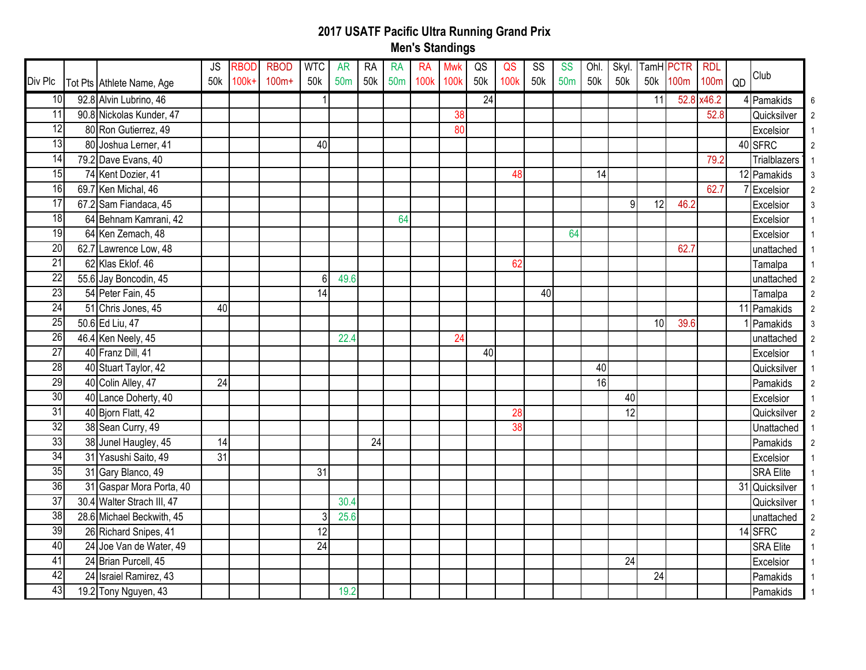|                 |                            | <b>JS</b> | <b>RBOD</b> | <b>RBOD</b> | <b>WTC</b>      | <b>AR</b>       | <b>RA</b> | <b>RA</b>       | <b>RA</b>        | <b>Mwk</b>       | QS  | QS   | SS  | <b>SS</b>       | Ohl. |                 | Skyl. TamH PCTR |      | <b>RDL</b> |                     |
|-----------------|----------------------------|-----------|-------------|-------------|-----------------|-----------------|-----------|-----------------|------------------|------------------|-----|------|-----|-----------------|------|-----------------|-----------------|------|------------|---------------------|
| Div Plc         | Tot Pts Athlete Name, Age  | 50k       | $100k +$    | $100m+$     | 50k             | 50 <sub>m</sub> | 50k       | 50 <sub>m</sub> | 100 <sub>k</sub> | 100 <sub>k</sub> | 50k | 100k | 50k | 50 <sub>m</sub> | 50k  | 50k             | 50k             | 100m | $100m$ QD  | Club                |
| 10              | 92.8 Alvin Lubrino, 46     |           |             |             | $\mathbf{1}$    |                 |           |                 |                  |                  | 24  |      |     |                 |      |                 | 11              |      | 52.8 x46.2 | 4 Pamakids          |
| 11              | 90.8 Nickolas Kunder, 47   |           |             |             |                 |                 |           |                 |                  | 38               |     |      |     |                 |      |                 |                 |      | 52.8       | Quicksilver         |
| $\overline{12}$ | 80 Ron Gutierrez, 49       |           |             |             |                 |                 |           |                 |                  | 80               |     |      |     |                 |      |                 |                 |      |            | Excelsior           |
| 13              | 80 Joshua Lerner, 41       |           |             |             | 40              |                 |           |                 |                  |                  |     |      |     |                 |      |                 |                 |      |            | 40 SFRC             |
| $\overline{14}$ | 79.2 Dave Evans, 40        |           |             |             |                 |                 |           |                 |                  |                  |     |      |     |                 |      |                 |                 |      | 79.2       | <b>Trialblazers</b> |
| 15              | 74 Kent Dozier, 41         |           |             |             |                 |                 |           |                 |                  |                  |     | 48   |     |                 | 14   |                 |                 |      |            | 12 Pamakids         |
| 16              | 69.7 Ken Michal, 46        |           |             |             |                 |                 |           |                 |                  |                  |     |      |     |                 |      |                 |                 |      | 62.7       | Excelsior           |
| 17              | 67.2 Sam Fiandaca, 45      |           |             |             |                 |                 |           |                 |                  |                  |     |      |     |                 |      | 9               | 12              | 46.2 |            | Excelsior           |
| 18              | 64 Behnam Kamrani, 42      |           |             |             |                 |                 |           | 64              |                  |                  |     |      |     |                 |      |                 |                 |      |            | Excelsior           |
| 19              | 64 Ken Zemach, 48          |           |             |             |                 |                 |           |                 |                  |                  |     |      |     | 64              |      |                 |                 |      |            | Excelsior           |
| 20              | 62.7 Lawrence Low, 48      |           |             |             |                 |                 |           |                 |                  |                  |     |      |     |                 |      |                 |                 | 62.7 |            | unattached          |
| 21              | 62 Klas Eklof. 46          |           |             |             |                 |                 |           |                 |                  |                  |     | 62   |     |                 |      |                 |                 |      |            | Tamalpa             |
| $\overline{22}$ | 55.6 Jay Boncodin, 45      |           |             |             | 6               | 49.6            |           |                 |                  |                  |     |      |     |                 |      |                 |                 |      |            | unattached          |
| 23              | 54 Peter Fain, 45          |           |             |             | $\overline{14}$ |                 |           |                 |                  |                  |     |      | 40  |                 |      |                 |                 |      |            | Tamalpa             |
| 24              | 51 Chris Jones, 45         | 40        |             |             |                 |                 |           |                 |                  |                  |     |      |     |                 |      |                 |                 |      |            | 11 Pamakids         |
| 25              | 50.6 Ed Liu, 47            |           |             |             |                 |                 |           |                 |                  |                  |     |      |     |                 |      |                 | 10 <sup>1</sup> | 39.6 |            | Pamakids            |
| 26              | 46.4 Ken Neely, 45         |           |             |             |                 | 22.4            |           |                 |                  | 24               |     |      |     |                 |      |                 |                 |      |            | unattached          |
| $\overline{27}$ | 40 Franz Dill, 41          |           |             |             |                 |                 |           |                 |                  |                  | 40  |      |     |                 |      |                 |                 |      |            | Excelsior           |
| $\overline{28}$ | 40 Stuart Taylor, 42       |           |             |             |                 |                 |           |                 |                  |                  |     |      |     |                 | 40   |                 |                 |      |            | Quicksilver         |
| 29              | 40 Colin Alley, 47         | 24        |             |             |                 |                 |           |                 |                  |                  |     |      |     |                 | 16   |                 |                 |      |            | Pamakids            |
| 30              | 40 Lance Doherty, 40       |           |             |             |                 |                 |           |                 |                  |                  |     |      |     |                 |      | $\overline{40}$ |                 |      |            | Excelsior           |
| $\overline{31}$ | 40 Bjorn Flatt, 42         |           |             |             |                 |                 |           |                 |                  |                  |     | 28   |     |                 |      | 12              |                 |      |            | Quicksilver         |
| 32              | 38 Sean Curry, 49          |           |             |             |                 |                 |           |                 |                  |                  |     | 38   |     |                 |      |                 |                 |      |            | Unattached          |
| 33              | 38 Junel Haugley, 45       | 14        |             |             |                 |                 | 24        |                 |                  |                  |     |      |     |                 |      |                 |                 |      |            | Pamakids            |
| 34              | 31 Yasushi Saito, 49       | 31        |             |             |                 |                 |           |                 |                  |                  |     |      |     |                 |      |                 |                 |      |            | Excelsior           |
| 35              | 31 Gary Blanco, 49         |           |             |             | $\overline{31}$ |                 |           |                 |                  |                  |     |      |     |                 |      |                 |                 |      |            | <b>SRA Elite</b>    |
| 36              | 31 Gaspar Mora Porta, 40   |           |             |             |                 |                 |           |                 |                  |                  |     |      |     |                 |      |                 |                 |      |            | 31 Quicksilver      |
| 37              | 30.4 Walter Strach III, 47 |           |             |             |                 | 30.4            |           |                 |                  |                  |     |      |     |                 |      |                 |                 |      |            | Quicksilver         |
| $\overline{38}$ | 28.6 Michael Beckwith, 45  |           |             |             | 3               | 25.6            |           |                 |                  |                  |     |      |     |                 |      |                 |                 |      |            | unattached          |
| 39              | 26 Richard Snipes, 41      |           |             |             | 12              |                 |           |                 |                  |                  |     |      |     |                 |      |                 |                 |      |            | 14 SFRC             |
| 40              | 24 Joe Van de Water, 49    |           |             |             | 24              |                 |           |                 |                  |                  |     |      |     |                 |      |                 |                 |      |            | <b>SRA Elite</b>    |
| 41              | 24 Brian Purcell, 45       |           |             |             |                 |                 |           |                 |                  |                  |     |      |     |                 |      | $\overline{24}$ |                 |      |            | Excelsior           |
| 42              | 24 Israiel Ramirez, 43     |           |             |             |                 |                 |           |                 |                  |                  |     |      |     |                 |      |                 | $\overline{24}$ |      |            | Pamakids            |
| 43              | 19.2 Tony Nguyen, 43       |           |             |             |                 | 19.2            |           |                 |                  |                  |     |      |     |                 |      |                 |                 |      |            | Pamakids            |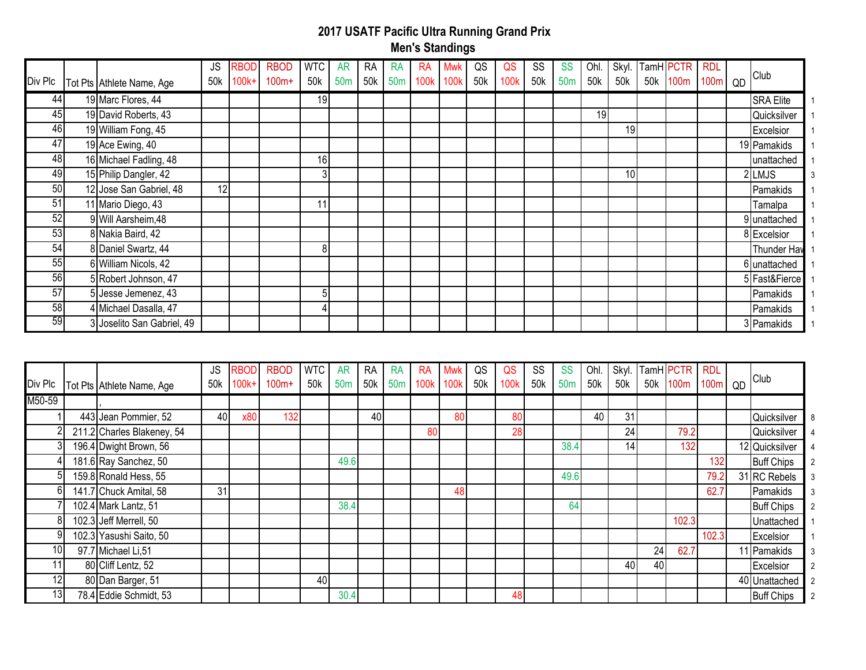| Div Plc         | Tot Pts Athlete Name, Age  | <b>JS</b><br>50k | RBOD<br>100k+ | <b>RBOD</b><br>$100m+$ | <b>WTC</b><br>50k | <b>AR</b><br>50 <sub>m</sub> | RA<br>50k | <b>RA</b><br>50 <sub>m</sub> | <b>RA</b><br>100k | Mwk<br>100k | QS<br>50k | QS<br>100k | SS<br>50k | <b>SS</b><br>50 <sub>m</sub> | Ohl.<br>50k | 50k | Skyl. TamH PCTR<br>50k 100m | RDL<br>100 <sub>m</sub> | QD | Club               |
|-----------------|----------------------------|------------------|---------------|------------------------|-------------------|------------------------------|-----------|------------------------------|-------------------|-------------|-----------|------------|-----------|------------------------------|-------------|-----|-----------------------------|-------------------------|----|--------------------|
| 44              | 19 Marc Flores, 44         |                  |               |                        | 19                |                              |           |                              |                   |             |           |            |           |                              |             |     |                             |                         |    | <b>SRA Elite</b>   |
| 45              | 19 David Roberts, 43       |                  |               |                        |                   |                              |           |                              |                   |             |           |            |           |                              | 19          |     |                             |                         |    | Quicksilver        |
| 46              | 19 William Fong, 45        |                  |               |                        |                   |                              |           |                              |                   |             |           |            |           |                              |             | 19  |                             |                         |    | Excelsior          |
| 47              | 19 Ace Ewing, 40           |                  |               |                        |                   |                              |           |                              |                   |             |           |            |           |                              |             |     |                             |                         |    | 19 Pamakids        |
| 48              | 16 Michael Fadling, 48     |                  |               |                        | 16                |                              |           |                              |                   |             |           |            |           |                              |             |     |                             |                         |    | unattached         |
| 49              | 15 Philip Dangler, 42      |                  |               |                        | 3                 |                              |           |                              |                   |             |           |            |           |                              |             | 10  |                             |                         |    | 2LMJS              |
| 50              | 12 Jose San Gabriel, 48    | 12               |               |                        |                   |                              |           |                              |                   |             |           |            |           |                              |             |     |                             |                         |    | Pamakids           |
| 51              | 11 Mario Diego, 43         |                  |               |                        | 11                |                              |           |                              |                   |             |           |            |           |                              |             |     |                             |                         |    | Tamalpa            |
| 52              | 9 Will Aarsheim, 48        |                  |               |                        |                   |                              |           |                              |                   |             |           |            |           |                              |             |     |                             |                         |    | 9 unattached       |
| 53              | 8 Nakia Baird, 42          |                  |               |                        |                   |                              |           |                              |                   |             |           |            |           |                              |             |     |                             |                         |    | 8 Excelsior        |
| 54              | 8 Daniel Swartz, 44        |                  |               |                        | 8                 |                              |           |                              |                   |             |           |            |           |                              |             |     |                             |                         |    | <b>Thunder Hav</b> |
| 55              | 6 William Nicols, 42       |                  |               |                        |                   |                              |           |                              |                   |             |           |            |           |                              |             |     |                             |                         |    | 6 unattached       |
| 56              | 5 Robert Johnson, 47       |                  |               |                        |                   |                              |           |                              |                   |             |           |            |           |                              |             |     |                             |                         |    | 5 Fast&Fierce      |
| 57              | 5 Jesse Jemenez, 43        |                  |               |                        | 5                 |                              |           |                              |                   |             |           |            |           |                              |             |     |                             |                         |    | Pamakids           |
| $\overline{58}$ | 4 Michael Dasalla, 47      |                  |               |                        |                   |                              |           |                              |                   |             |           |            |           |                              |             |     |                             |                         |    | Pamakids           |
| 59              | 3 Joselito San Gabriel, 49 |                  |               |                        |                   |                              |           |                              |                   |             |           |            |           |                              |             |     |                             |                         |    | 3 Pamakids         |

| Div Plc         | Tot Pts Athlete Name, Age  | <b>JS</b><br>50k | <b>RBOD</b><br>$100k+$ | <b>RBOD</b><br>$100m+$ | <b>WTC</b><br>50k | <b>AR</b><br>50 <sub>m</sub> | <b>RA</b><br>50k | <b>RA</b><br>50 <sub>m</sub> | <b>RA</b><br>100k | Mwk<br>100k | QS<br>50k | QS<br>100 <sub>k</sub> | SS<br>50k | <b>SS</b><br>50 <sub>m</sub> | Ohl.<br>50k | 50k | 50k | Skyl. TamH PCTR<br>100m | <b>RDL</b><br>100 <sub>m</sub> | QD | Club              |  |
|-----------------|----------------------------|------------------|------------------------|------------------------|-------------------|------------------------------|------------------|------------------------------|-------------------|-------------|-----------|------------------------|-----------|------------------------------|-------------|-----|-----|-------------------------|--------------------------------|----|-------------------|--|
| M50-59          |                            |                  |                        |                        |                   |                              |                  |                              |                   |             |           |                        |           |                              |             |     |     |                         |                                |    |                   |  |
|                 | 443 Jean Pommier, 52       | 40               | x80                    | 132                    |                   |                              | 40               |                              |                   | 80          |           | 80                     |           |                              | 40          | 31  |     |                         |                                |    | Quicksilver       |  |
|                 | 211.2 Charles Blakeney, 54 |                  |                        |                        |                   |                              |                  |                              | 80                |             |           | 28                     |           |                              |             | 24  |     | 79.2                    |                                |    | Quicksilver       |  |
| 31              | 196.4 Dwight Brown, 56     |                  |                        |                        |                   |                              |                  |                              |                   |             |           |                        |           | 38.4                         |             | 14  |     | 132                     |                                |    | 12 Quicksilver    |  |
|                 | 181.6 Ray Sanchez, 50      |                  |                        |                        |                   | 49.6                         |                  |                              |                   |             |           |                        |           |                              |             |     |     |                         | 132                            |    | <b>Buff Chips</b> |  |
| 51              | 159.8 Ronald Hess, 55      |                  |                        |                        |                   |                              |                  |                              |                   |             |           |                        |           | 49.6                         |             |     |     |                         | 79.2                           |    | 31 RC Rebels      |  |
| 61              | 141.7 Chuck Amital, 58     | 31               |                        |                        |                   |                              |                  |                              |                   | 48          |           |                        |           |                              |             |     |     |                         | 62.7                           |    | Pamakids          |  |
|                 | 102.4 Mark Lantz, 51       |                  |                        |                        |                   | 38.4                         |                  |                              |                   |             |           |                        |           | 64                           |             |     |     |                         |                                |    | <b>Buff Chips</b> |  |
| 8I              | 102.3 Jeff Merrell, 50     |                  |                        |                        |                   |                              |                  |                              |                   |             |           |                        |           |                              |             |     |     | 102.3                   |                                |    | Unattached        |  |
| 91              | 102.3 Yasushi Saito, 50    |                  |                        |                        |                   |                              |                  |                              |                   |             |           |                        |           |                              |             |     |     |                         | 102.3                          |    | Excelsior         |  |
| 10 <sup>1</sup> | 97.7 Michael Li, 51        |                  |                        |                        |                   |                              |                  |                              |                   |             |           |                        |           |                              |             |     | 24  | 62.7                    |                                |    | 11 Pamakids       |  |
|                 | 80 Cliff Lentz, 52         |                  |                        |                        |                   |                              |                  |                              |                   |             |           |                        |           |                              |             | 40  | 40  |                         |                                |    | Excelsior         |  |
| 12              | 80 Dan Barger, 51          |                  |                        |                        | 40                |                              |                  |                              |                   |             |           |                        |           |                              |             |     |     |                         |                                |    | 40 Unattached     |  |
| 13              | 78.4 Eddie Schmidt, 53     |                  |                        |                        |                   | 30.4                         |                  |                              |                   |             |           | 48                     |           |                              |             |     |     |                         |                                |    | <b>Buff Chips</b> |  |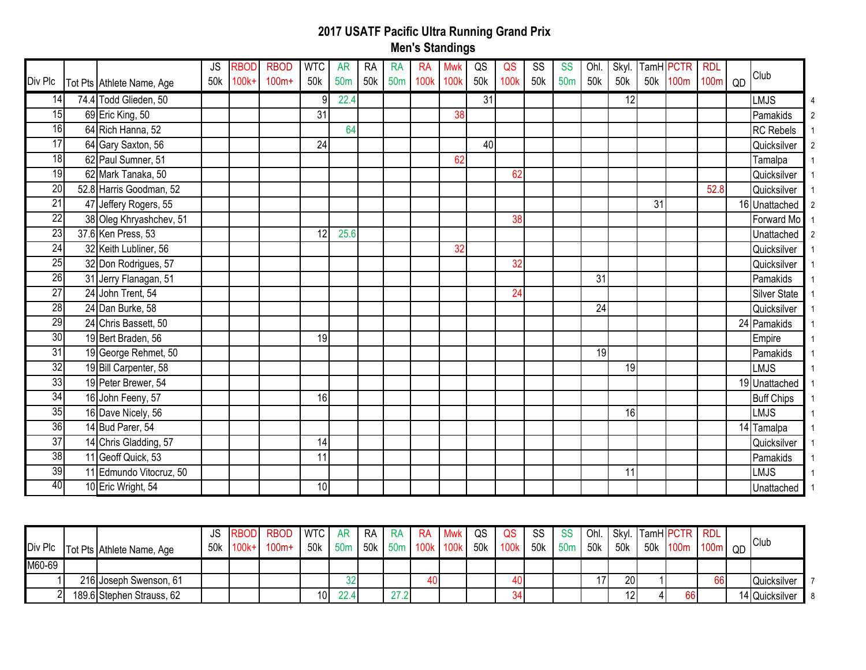| Div Plc         | Tot Pts Athlete Name, Age | <b>JS</b><br>50k | RBOD<br>$100k+$ | <b>RBOD</b><br>$100m+$ | <b>WTC</b><br>50k | <b>AR</b><br>50 <sub>m</sub> | <b>RA</b><br>50k | <b>RA</b><br>50m | <b>RA</b><br>100k | <b>Mwk</b><br>100k | QS<br>50k | QS<br>100k | <b>SS</b><br>50k | <b>SS</b><br>50 <sub>m</sub> | Ohl.<br>50 <sub>k</sub> | Skyl.<br>50k    | 50k | TamH <b>PCTR</b><br>100m | <b>RDL</b><br>100m | QD | Club                |  |
|-----------------|---------------------------|------------------|-----------------|------------------------|-------------------|------------------------------|------------------|------------------|-------------------|--------------------|-----------|------------|------------------|------------------------------|-------------------------|-----------------|-----|--------------------------|--------------------|----|---------------------|--|
| 14              | 74.4 Todd Glieden, 50     |                  |                 |                        | 9                 | 22.4                         |                  |                  |                   |                    | 31        |            |                  |                              |                         | 12              |     |                          |                    |    | LMJS                |  |
| 15              | 69 Eric King, 50          |                  |                 |                        | 31                |                              |                  |                  |                   | 38                 |           |            |                  |                              |                         |                 |     |                          |                    |    | Pamakids            |  |
| 16              | 64 Rich Hanna, 52         |                  |                 |                        |                   | 64                           |                  |                  |                   |                    |           |            |                  |                              |                         |                 |     |                          |                    |    | <b>RC</b> Rebels    |  |
| 17              | 64 Gary Saxton, 56        |                  |                 |                        | 24                |                              |                  |                  |                   |                    | 40        |            |                  |                              |                         |                 |     |                          |                    |    | Quicksilver         |  |
| 18              | 62 Paul Sumner, 51        |                  |                 |                        |                   |                              |                  |                  |                   | 62                 |           |            |                  |                              |                         |                 |     |                          |                    |    | Tamalpa             |  |
| $\overline{19}$ | 62 Mark Tanaka, 50        |                  |                 |                        |                   |                              |                  |                  |                   |                    |           | 62         |                  |                              |                         |                 |     |                          |                    |    | Quicksilver         |  |
| $\overline{20}$ | 52.8 Harris Goodman, 52   |                  |                 |                        |                   |                              |                  |                  |                   |                    |           |            |                  |                              |                         |                 |     |                          | 52.8               |    | Quicksilver         |  |
| $\overline{21}$ | 47 Jeffery Rogers, 55     |                  |                 |                        |                   |                              |                  |                  |                   |                    |           |            |                  |                              |                         |                 | 31  |                          |                    |    | 16 Unattached       |  |
| 22              | 38 Oleg Khryashchev, 51   |                  |                 |                        |                   |                              |                  |                  |                   |                    |           | 38         |                  |                              |                         |                 |     |                          |                    |    | Forward Mo          |  |
| $\overline{23}$ | 37.6 Ken Press, 53        |                  |                 |                        | 12                | 25.6                         |                  |                  |                   |                    |           |            |                  |                              |                         |                 |     |                          |                    |    | Unattached          |  |
| 24              | 32 Keith Lubliner, 56     |                  |                 |                        |                   |                              |                  |                  |                   | 32                 |           |            |                  |                              |                         |                 |     |                          |                    |    | Quicksilver         |  |
| $\overline{25}$ | 32 Don Rodrigues, 57      |                  |                 |                        |                   |                              |                  |                  |                   |                    |           | 32         |                  |                              |                         |                 |     |                          |                    |    | Quicksilver         |  |
| 26              | 31 Jerry Flanagan, 51     |                  |                 |                        |                   |                              |                  |                  |                   |                    |           |            |                  |                              | 31                      |                 |     |                          |                    |    | Pamakids            |  |
| $\overline{27}$ | 24 John Trent, 54         |                  |                 |                        |                   |                              |                  |                  |                   |                    |           | 24         |                  |                              |                         |                 |     |                          |                    |    | <b>Silver State</b> |  |
| 28              | 24 Dan Burke, 58          |                  |                 |                        |                   |                              |                  |                  |                   |                    |           |            |                  |                              | 24                      |                 |     |                          |                    |    | Quicksilver         |  |
| $\overline{29}$ | 24 Chris Bassett, 50      |                  |                 |                        |                   |                              |                  |                  |                   |                    |           |            |                  |                              |                         |                 |     |                          |                    |    | 24 Pamakids         |  |
| 30              | 19 Bert Braden, 56        |                  |                 |                        | 19                |                              |                  |                  |                   |                    |           |            |                  |                              |                         |                 |     |                          |                    |    | Empire              |  |
| 31              | 19 George Rehmet, 50      |                  |                 |                        |                   |                              |                  |                  |                   |                    |           |            |                  |                              | 19                      |                 |     |                          |                    |    | Pamakids            |  |
| 32              | 19 Bill Carpenter, 58     |                  |                 |                        |                   |                              |                  |                  |                   |                    |           |            |                  |                              |                         | 19              |     |                          |                    |    | LMJS                |  |
| 33              | 19 Peter Brewer, 54       |                  |                 |                        |                   |                              |                  |                  |                   |                    |           |            |                  |                              |                         |                 |     |                          |                    |    | 19 Unattached       |  |
| 34              | 16 John Feeny, 57         |                  |                 |                        | 16                |                              |                  |                  |                   |                    |           |            |                  |                              |                         |                 |     |                          |                    |    | <b>Buff Chips</b>   |  |
| 35              | 16 Dave Nicely, 56        |                  |                 |                        |                   |                              |                  |                  |                   |                    |           |            |                  |                              |                         | 16              |     |                          |                    |    | LMJS                |  |
| 36              | 14 Bud Parer, 54          |                  |                 |                        |                   |                              |                  |                  |                   |                    |           |            |                  |                              |                         |                 |     |                          |                    |    | 14 Tamalpa          |  |
| $\overline{37}$ | 14 Chris Gladding, 57     |                  |                 |                        | 14                |                              |                  |                  |                   |                    |           |            |                  |                              |                         |                 |     |                          |                    |    | Quicksilver         |  |
| 38              | 11 Geoff Quick, 53        |                  |                 |                        | 11                |                              |                  |                  |                   |                    |           |            |                  |                              |                         |                 |     |                          |                    |    | Pamakids            |  |
| 39              | 11 Edmundo Vitocruz, 50   |                  |                 |                        |                   |                              |                  |                  |                   |                    |           |            |                  |                              |                         | $\overline{11}$ |     |                          |                    |    | LMJS                |  |
| 40              | 10 Eric Wright, 54        |                  |                 |                        | 10 <sup>1</sup>   |                              |                  |                  |                   |                    |           |            |                  |                              |                         |                 |     |                          |                    |    | Unattached          |  |
|                 |                           |                  |                 |                        |                   |                              |                  |                  |                   |                    |           |            |                  |                              |                         |                 |     |                          |                    |    |                     |  |

|        | Div Plc Tot Pts Athlete Name, Age |  | RBOD WTC AR RA RA RA Mwk QS QS<br>50k 100k+ 100m+ | '50k   50m   50k   50m   100k   100k   50k   100k   50k   50m   50k |      |     |    |  |    | -SS I | SS | 50k       | Ohl. Skyl. TamHPCTR RDL<br>50k 100m 100m QD |    | Club           |                |
|--------|-----------------------------------|--|---------------------------------------------------|---------------------------------------------------------------------|------|-----|----|--|----|-------|----|-----------|---------------------------------------------|----|----------------|----------------|
| M60-69 |                                   |  |                                                   |                                                                     |      |     |    |  |    |       |    |           |                                             |    |                |                |
|        | 216 Joseph Swenson, 61            |  |                                                   |                                                                     |      |     | 40 |  |    |       |    | <b>20</b> |                                             | 66 | Quicksilver    |                |
|        | 189.6 Stephen Strauss, 62         |  |                                                   | 10 <sup>1</sup>                                                     | 22.4 | 27' |    |  | ◡⊣ |       |    | 12        | 66                                          |    | 14 Quicksilver | $\blacksquare$ |